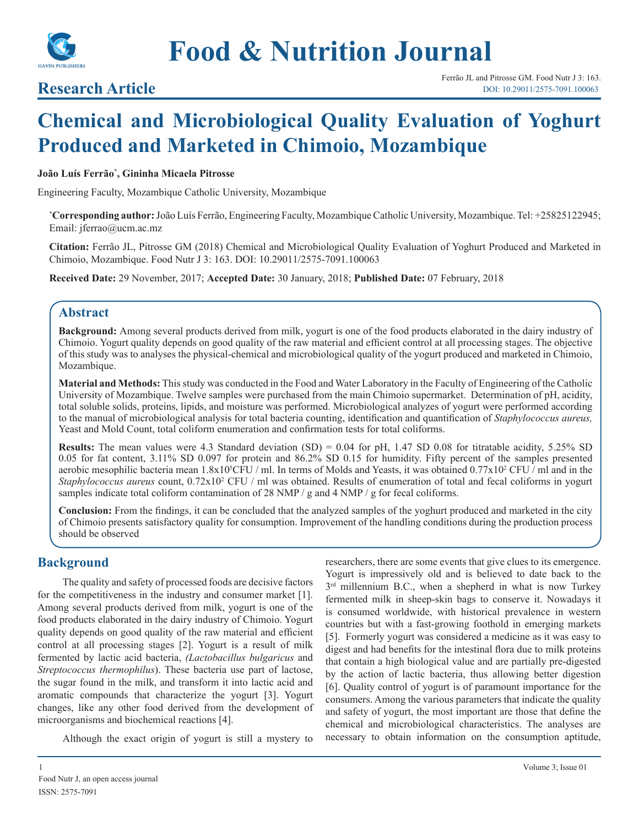

# **Food & Nutrition Journal**

## **Research Article**

## **Chemical and Microbiological Quality Evaluation of Yoghurt Produced and Marketed in Chimoio, Mozambique**

#### **João Luís Ferrão\* , Gininha Micaela Pitrosse**

Engineering Faculty, Mozambique Catholic University, Mozambique

**\* Corresponding author:** João Luís Ferrão, Engineering Faculty, Mozambique Catholic University, Mozambique. Tel: +25825122945; Email: jferrao@ucm.ac.mz

**Citation:** Ferrão JL, Pitrosse GM (2018) Chemical and Microbiological Quality Evaluation of Yoghurt Produced and Marketed in Chimoio, Mozambique. Food Nutr J 3: 163. DOI: 10.29011/2575-7091.100063

**Received Date:** 29 November, 2017; **Accepted Date:** 30 January, 2018; **Published Date:** 07 February, 2018

#### **Abstract**

**Background:** Among several products derived from milk, yogurt is one of the food products elaborated in the dairy industry of Chimoio. Yogurt quality depends on good quality of the raw material and efficient control at all processing stages. The objective of this study was to analyses the physical-chemical and microbiological quality of the yogurt produced and marketed in Chimoio, Mozambique.

**Material and Methods:** This study was conducted in the Food and Water Laboratory in the Faculty of Engineering of the Catholic University of Mozambique. Twelve samples were purchased from the main Chimoio supermarket. Determination of pH, acidity, total soluble solids, proteins, lipids, and moisture was performed. Microbiological analyzes of yogurt were performed according to the manual of microbiological analysis for total bacteria counting, identification and quantification of *Staphylococcus aureus,*  Yeast and Mold Count, total coliform enumeration and confirmation tests for total coliforms.

**Results:** The mean values were 4.3 Standard deviation (SD) = 0.04 for pH, 1.47 SD 0.08 for titratable acidity, 5.25% SD 0.05 for fat content, 3.11% SD 0.097 for protein and 86.2% SD 0.15 for humidity. Fifty percent of the samples presented aerobic mesophilic bacteria mean 1.8x10<sup>5</sup>CFU / ml. In terms of Molds and Yeasts, it was obtained 0.77x10<sup>2</sup> CFU / ml and in the *Staphylococcus aureus* count,  $0.72 \times 10^2$  CFU / ml was obtained. Results of enumeration of total and fecal coliforms in yogurt samples indicate total coliform contamination of 28 NMP / g and 4 NMP / g for fecal coliforms.

**Conclusion:** From the findings, it can be concluded that the analyzed samples of the yoghurt produced and marketed in the city of Chimoio presents satisfactory quality for consumption. Improvement of the handling conditions during the production process should be observed

#### **Background**

The quality and safety of processed foods are decisive factors for the competitiveness in the industry and consumer market [1]. Among several products derived from milk, yogurt is one of the food products elaborated in the dairy industry of Chimoio. Yogurt quality depends on good quality of the raw material and efficient control at all processing stages [2]. Yogurt is a result of milk fermented by lactic acid bacteria, *(Lactobacillus bulgaricus* and *Streptococcus thermophilus*). These bacteria use part of lactose, the sugar found in the milk, and transform it into lactic acid and aromatic compounds that characterize the yogurt [3]. Yogurt changes, like any other food derived from the development of microorganisms and biochemical reactions [4].

Although the exact origin of yogurt is still a mystery to

researchers, there are some events that give clues to its emergence. Yogurt is impressively old and is believed to date back to the  $3<sup>rd</sup>$  millennium B.C., when a shepherd in what is now Turkey fermented milk in sheep-skin bags to conserve it. Nowadays it is consumed worldwide, with historical prevalence in western countries but with a fast-growing foothold in emerging markets [5]. Formerly yogurt was considered a medicine as it was easy to digest and had benefits for the intestinal flora due to milk proteins that contain a high biological value and are partially pre-digested by the action of lactic bacteria, thus allowing better digestion [6]. Quality control of yogurt is of paramount importance for the consumers. Among the various parameters that indicate the quality and safety of yogurt, the most important are those that define the chemical and microbiological characteristics. The analyses are necessary to obtain information on the consumption aptitude,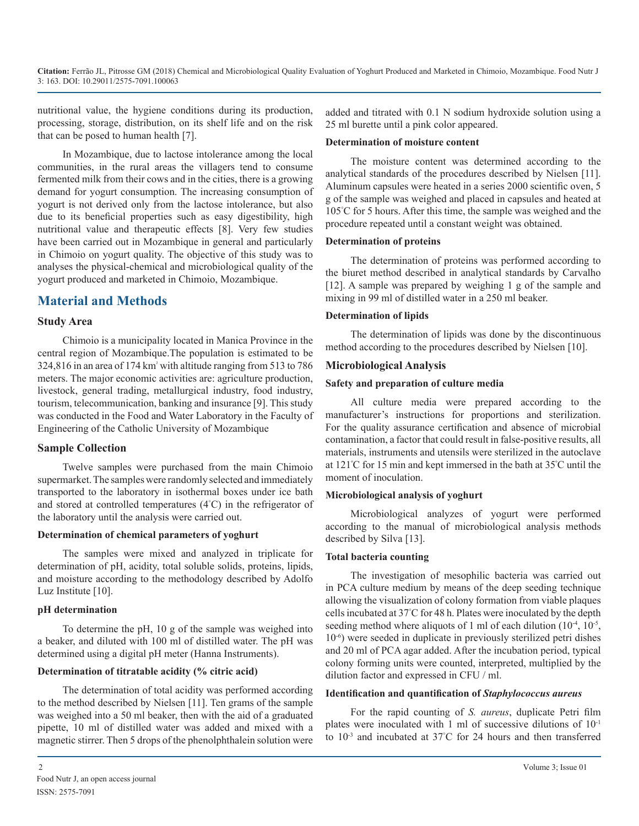nutritional value, the hygiene conditions during its production, processing, storage, distribution, on its shelf life and on the risk that can be posed to human health [7].

In Mozambique, due to lactose intolerance among the local communities, in the rural areas the villagers tend to consume fermented milk from their cows and in the cities, there is a growing demand for yogurt consumption. The increasing consumption of yogurt is not derived only from the lactose intolerance, but also due to its beneficial properties such as easy digestibility, high nutritional value and therapeutic effects [8]. Very few studies have been carried out in Mozambique in general and particularly in Chimoio on yogurt quality. The objective of this study was to analyses the physical-chemical and microbiological quality of the yogurt produced and marketed in Chimoio, Mozambique.

## **Material and Methods**

#### **Study Area**

Chimoio is a municipality located in Manica Province in the central region of Mozambique.The population is estimated to be 324,816 in an area of 174 km² with altitude ranging from 513 to 786 meters. The major economic activities are: agriculture production, livestock, general trading, metallurgical industry, food industry, tourism, telecommunication, banking and insurance [9]. This study was conducted in the Food and Water Laboratory in the Faculty of Engineering of the Catholic University of Mozambique

#### **Sample Collection**

Twelve samples were purchased from the main Chimoio supermarket. The samples were randomly selected and immediately transported to the laboratory in isothermal boxes under ice bath and stored at controlled temperatures (4° C) in the refrigerator of the laboratory until the analysis were carried out.

#### **Determination of chemical parameters of yoghurt**

The samples were mixed and analyzed in triplicate for determination of pH, acidity, total soluble solids, proteins, lipids, and moisture according to the methodology described by Adolfo Luz Institute [10].

#### **pH determination**

To determine the pH, 10 g of the sample was weighed into a beaker, and diluted with 100 ml of distilled water. The pH was determined using a digital pH meter (Hanna Instruments).

#### **Determination of titratable acidity (% citric acid)**

The determination of total acidity was performed according to the method described by Nielsen [11]. Ten grams of the sample was weighed into a 50 ml beaker, then with the aid of a graduated pipette, 10 ml of distilled water was added and mixed with a magnetic stirrer. Then 5 drops of the phenolphthalein solution were

added and titrated with 0.1 N sodium hydroxide solution using a 25 ml burette until a pink color appeared.

#### **Determination of moisture content**

The moisture content was determined according to the analytical standards of the procedures described by Nielsen [11]. Aluminum capsules were heated in a series 2000 scientific oven, 5 g of the sample was weighed and placed in capsules and heated at 105° C for 5 hours. After this time, the sample was weighed and the procedure repeated until a constant weight was obtained.

#### **Determination of proteins**

The determination of proteins was performed according to the biuret method described in analytical standards by Carvalho [12]. A sample was prepared by weighing 1 g of the sample and mixing in 99 ml of distilled water in a 250 ml beaker.

#### **Determination of lipids**

The determination of lipids was done by the discontinuous method according to the procedures described by Nielsen [10].

#### **Microbiological Analysis**

#### **Safety and preparation of culture media**

All culture media were prepared according to the manufacturer's instructions for proportions and sterilization. For the quality assurance certification and absence of microbial contamination, a factor that could result in false-positive results, all materials, instruments and utensils were sterilized in the autoclave at 121º C for 15 min and kept immersed in the bath at 35º C until the moment of inoculation.

#### **Microbiological analysis of yoghurt**

Microbiological analyzes of yogurt were performed according to the manual of microbiological analysis methods described by Silva [13].

#### **Total bacteria counting**

The investigation of mesophilic bacteria was carried out in PCA culture medium by means of the deep seeding technique allowing the visualization of colony formation from viable plaques cells incubated at 37° C for 48 h. Plates were inoculated by the depth seeding method where aliquots of 1 ml of each dilution  $(10^{-4}, 10^{-5},$ 10-6) were seeded in duplicate in previously sterilized petri dishes and 20 ml of PCA agar added. After the incubation period, typical colony forming units were counted, interpreted, multiplied by the dilution factor and expressed in CFU / ml.

#### **Identification and quantification of** *Staphylococcus aureus*

For the rapid counting of *S. aureus*, duplicate Petri film plates were inoculated with 1 ml of successive dilutions of 10-1 to  $10^{-3}$  and incubated at 37°C for 24 hours and then transferred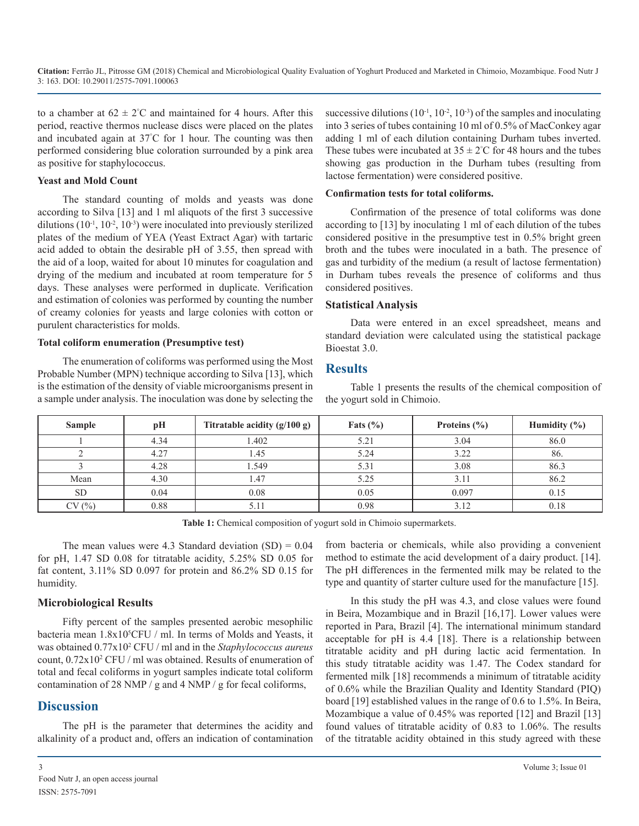to a chamber at  $62 \pm 2^{\circ}$ C and maintained for 4 hours. After this period, reactive thermos nuclease discs were placed on the plates and incubated again at 37° C for 1 hour. The counting was then performed considering blue coloration surrounded by a pink area as positive for staphylococcus.

#### **Yeast and Mold Count**

The standard counting of molds and yeasts was done according to Silva [13] and 1 ml aliquots of the first 3 successive dilutions  $(10^{-1}, 10^{-2}, 10^{-3})$  were inoculated into previously sterilized plates of the medium of YEA (Yeast Extract Agar) with tartaric acid added to obtain the desirable pH of 3.55, then spread with the aid of a loop, waited for about 10 minutes for coagulation and drying of the medium and incubated at room temperature for 5 days. These analyses were performed in duplicate. Verification and estimation of colonies was performed by counting the number of creamy colonies for yeasts and large colonies with cotton or purulent characteristics for molds.

#### **Total coliform enumeration (Presumptive test)**

The enumeration of coliforms was performed using the Most Probable Number (MPN) technique according to Silva [13], which is the estimation of the density of viable microorganisms present in a sample under analysis. The inoculation was done by selecting the successive dilutions  $(10^{-1}, 10^{-2}, 10^{-3})$  of the samples and inoculating into 3 series of tubes containing 10 ml of 0.5% of MacConkey agar adding 1 ml of each dilution containing Durham tubes inverted. These tubes were incubated at  $35 \pm 2^{\circ}$ C for 48 hours and the tubes showing gas production in the Durham tubes (resulting from lactose fermentation) were considered positive.

#### **Confirmation tests for total coliforms.**

Confirmation of the presence of total coliforms was done according to [13] by inoculating 1 ml of each dilution of the tubes considered positive in the presumptive test in 0.5% bright green broth and the tubes were inoculated in a bath. The presence of gas and turbidity of the medium (a result of lactose fermentation) in Durham tubes reveals the presence of coliforms and thus considered positives.

#### **Statistical Analysis**

Data were entered in an excel spreadsheet, means and standard deviation were calculated using the statistical package Bioestat 3.0.

#### **Results**

Table 1 presents the results of the chemical composition of the yogurt sold in Chimoio.

| <b>Sample</b> | pH   | Titratable acidity $(g/100 g)$ | Fats $(\% )$ | Proteins $(\% )$ | Humidity $(\% )$ |
|---------------|------|--------------------------------|--------------|------------------|------------------|
|               | 4.34 | 1.402                          | 5.21         | 3.04             | 86.0             |
|               | 4.27 | 1.45                           | 5.24         | 3.22             | 86.              |
|               | 4.28 | 1.549                          | 5.31         | 3.08             | 86.3             |
| Mean          | 4.30 | 1.47                           | 5.25         | 3.11             | 86.2             |
| <b>SD</b>     | 0.04 | 0.08                           | 0.05         | 0.097            | 0.15             |
| CV(%)         | 0.88 | 5.11                           | 0.98         | 3.12             | 0.18             |

**Table 1:** Chemical composition of yogurt sold in Chimoio supermarkets.

The mean values were 4.3 Standard deviation  $(SD) = 0.04$ for pH, 1.47 SD 0.08 for titratable acidity, 5.25% SD 0.05 for fat content, 3.11% SD 0.097 for protein and 86.2% SD 0.15 for humidity.

#### **Microbiological Results**

Fifty percent of the samples presented aerobic mesophilic bacteria mean 1.8x10<sup>5</sup>CFU / ml. In terms of Molds and Yeasts, it was obtained 0.77x102 CFU / ml and in the *Staphylococcus aureus* count,  $0.72x10^2$  CFU / ml was obtained. Results of enumeration of total and fecal coliforms in yogurt samples indicate total coliform contamination of 28 NMP / g and 4 NMP / g for fecal coliforms,

### **Discussion**

The pH is the parameter that determines the acidity and alkalinity of a product and, offers an indication of contamination from bacteria or chemicals, while also providing a convenient method to estimate the acid development of a dairy product. [14]. The pH differences in the fermented milk may be related to the type and quantity of starter culture used for the manufacture [15].

In this study the pH was 4.3, and close values were found in Beira, Mozambique and in Brazil [16,17]. Lower values were reported in Para, Brazil [4]. The international minimum standard acceptable for pH is 4.4 [18]. There is a relationship between titratable acidity and pH during lactic acid fermentation. In this study titratable acidity was 1.47. The Codex standard for fermented milk [18] recommends a minimum of titratable acidity of 0.6% while the Brazilian Quality and Identity Standard (PIQ) board [19] established values in the range of 0.6 to 1.5%. In Beira, Mozambique a value of 0.45% was reported [12] and Brazil [13] found values of titratable acidity of 0.83 to 1.06%. The results of the titratable acidity obtained in this study agreed with these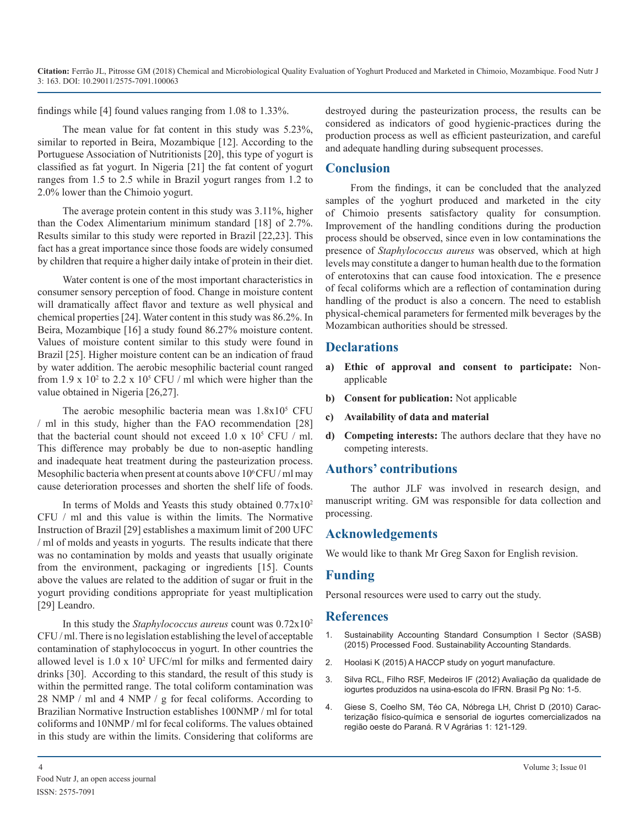**Citation:** Ferrão JL, Pitrosse GM (2018) Chemical and Microbiological Quality Evaluation of Yoghurt Produced and Marketed in Chimoio, Mozambique. Food Nutr J 3: 163. DOI: 10.29011/2575-7091.100063

findings while [4] found values ranging from 1.08 to 1.33%.

The mean value for fat content in this study was 5.23%, similar to reported in Beira, Mozambique [12]. According to the Portuguese Association of Nutritionists [20], this type of yogurt is classified as fat yogurt. In Nigeria [21] the fat content of yogurt ranges from 1.5 to 2.5 while in Brazil yogurt ranges from 1.2 to 2.0% lower than the Chimoio yogurt.

The average protein content in this study was 3.11%, higher than the Codex Alimentarium minimum standard [18] of 2.7%. Results similar to this study were reported in Brazil [22,23]. This fact has a great importance since those foods are widely consumed by children that require a higher daily intake of protein in their diet.

Water content is one of the most important characteristics in consumer sensory perception of food. Change in moisture content will dramatically affect flavor and texture as well physical and chemical properties [24]. Water content in this study was 86.2%. In Beira, Mozambique [16] a study found 86.27% moisture content. Values of moisture content similar to this study were found in Brazil [25]. Higher moisture content can be an indication of fraud by water addition. The aerobic mesophilic bacterial count ranged from 1.9 x  $10<sup>2</sup>$  to 2.2 x  $10<sup>5</sup>$  CFU / ml which were higher than the value obtained in Nigeria [26,27].

The aerobic mesophilic bacteria mean was  $1.8 \times 10^5$  CFU / ml in this study, higher than the FAO recommendation [28] that the bacterial count should not exceed  $1.0 \times 10^5$  CFU / ml. This difference may probably be due to non-aseptic handling and inadequate heat treatment during the pasteurization process. Mesophilic bacteria when present at counts above  $10^6$ CFU / ml may cause deterioration processes and shorten the shelf life of foods.

In terms of Molds and Yeasts this study obtained 0.77x102 CFU / ml and this value is within the limits. The Normative Instruction of Brazil [29] establishes a maximum limit of 200 UFC / ml of molds and yeasts in yogurts. The results indicate that there was no contamination by molds and yeasts that usually originate from the environment, packaging or ingredients [15]. Counts above the values are related to the addition of sugar or fruit in the yogurt providing conditions appropriate for yeast multiplication [29] Leandro.

In this study the *Staphylococcus aureus* count was 0.72x102 CFU / ml. There is no legislation establishing the level of acceptable contamination of staphylococcus in yogurt. In other countries the allowed level is 1.0 x 102 UFC/ml for milks and fermented dairy drinks [30]. According to this standard, the result of this study is within the permitted range. The total coliform contamination was 28 NMP / ml and 4 NMP / g for fecal coliforms. According to Brazilian Normative Instruction establishes 100NMP / ml for total coliforms and 10NMP / ml for fecal coliforms. The values obtained in this study are within the limits. Considering that coliforms are

destroyed during the pasteurization process, the results can be considered as indicators of good hygienic-practices during the production process as well as efficient pasteurization, and careful and adequate handling during subsequent processes.

#### **Conclusion**

From the findings, it can be concluded that the analyzed samples of the yoghurt produced and marketed in the city of Chimoio presents satisfactory quality for consumption. Improvement of the handling conditions during the production process should be observed, since even in low contaminations the presence of *Staphylococcus aureus* was observed, which at high levels may constitute a danger to human health due to the formation of enterotoxins that can cause food intoxication. The e presence of fecal coliforms which are a reflection of contamination during handling of the product is also a concern. The need to establish physical-chemical parameters for fermented milk beverages by the Mozambican authorities should be stressed.

#### **Declarations**

- **a) Ethic of approval and consent to participate:** Nonapplicable
- **b) Consent for publication:** Not applicable
- **c) Availability of data and material**
- **d) Competing interests:** The authors declare that they have no competing interests.

#### **Authors' contributions**

The author JLF was involved in research design, and manuscript writing. GM was responsible for data collection and processing.

#### **Acknowledgements**

We would like to thank Mr Greg Saxon for English revision.

#### **Funding**

Personal resources were used to carry out the study.

#### **References**

- 1. [Sustainability Accounting Standard Consumption I Sector \(SASB\)](http://www.sasb.org/wp-content/uploads/2015/01/CN0103_Processed-Foods_PCP2.pdf)  (2015) Processed Food. Sustainability Accounting Standards.
- 2. [Hoolasi K \(2015\) A HACCP study on yogurt manufacture.](https://ir.dut.ac.za/bitstream/10321/103/7/Hoolasi_2005.pdf)
- 3. [Silva RCL, Filho RSF, Medeiros IF \(2012\) Avaliação da qualidade de](http://propi.ifto.edu.br/ocs/index.php/connepi/vii/paper/viewFile/3461/3074)  iogurtes produzidos na usina-escola do IFRN. Brasil Pg No: 1-5.
- 4. [Giese S, Coelho SM, Téo CA, Nóbrega LH, Christ D \(2010\) Carac](https://www.unochapeco.edu.br/static/data/portal/downloads/2692.pdf)terização físico-química e sensorial de iogurtes comercializados na [região oeste do Paraná. R V Agrárias 1: 121-129.](https://www.unochapeco.edu.br/static/data/portal/downloads/2692.pdf)